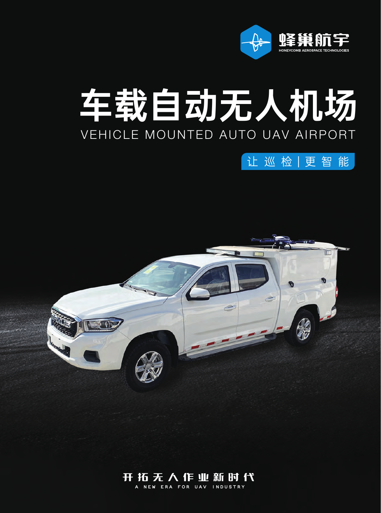

# VEHICLE MOUNTED AUTO UAV AIRPORT 车载自动无人机场





## 开拓无人作业新时代

**A NEW ERA FOR UAV INDUSTRY**